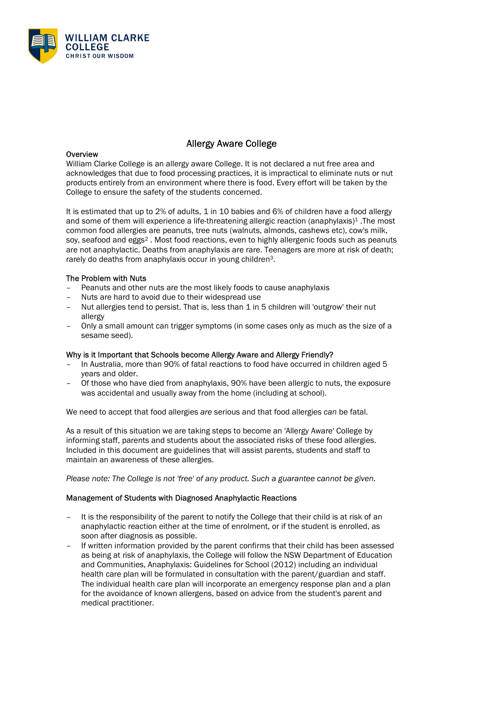

# Allergy Aware College

#### **Overview**

William Clarke College is an allergy aware College. It is not declared a nut free area and acknowledges that due to food processing practices, it is impractical to eliminate nuts or nut products entirely from an environment where there is food. Every effort will be taken by the College to ensure the safety of the students concerned.

It is estimated that up to 2% of adults, 1 in 10 babies and 6% of children have a food allergy and some of them will experience a life-threatening allergic reaction (anaphylaxis)<sup>1</sup>. The most common food allergies are peanuts, tree nuts (walnuts, almonds, cashews etc), cow's milk, soy, seafood and eggs<sup>2</sup>. Most food reactions, even to highly allergenic foods such as peanuts are not anaphylactic. Deaths from anaphylaxis are rare. Teenagers are more at risk of death; rarely do deaths from anaphylaxis occur in young children3.

#### The Problem with Nuts

- Peanuts and other nuts are the most likely foods to cause anaphylaxis
- Nuts are hard to avoid due to their widespread use
- Nut allergies tend to persist. That is, less than 1 in 5 children will 'outgrow' their nut allergy
- Only a small amount can trigger symptoms (in some cases only as much as the size of a sesame seed).

#### Why is it Important that Schools become Allergy Aware and Allergy Friendly?

- In Australia, more than 90% of fatal reactions to food have occurred in children aged 5 years and older.
- Of those who have died from anaphylaxis, 90% have been allergic to nuts, the exposure was accidental and usually away from the home (including at school).

We need to accept that food allergies are serious and that food allergies can be fatal.

As a result of this situation we are taking steps to become an 'Allergy Aware' College by informing staff, parents and students about the associated risks of these food allergies. Included in this document are guidelines that will assist parents, students and staff to maintain an awareness of these allergies.

Please note: The College is not 'free' of any product. Such a guarantee cannot be given.

#### Management of Students with Diagnosed Anaphylactic Reactions

- It is the responsibility of the parent to notify the College that their child is at risk of an anaphylactic reaction either at the time of enrolment, or if the student is enrolled, as soon after diagnosis as possible.
- If written information provided by the parent confirms that their child has been assessed as being at risk of anaphylaxis, the College will follow the NSW Department of Education and Communities, Anaphylaxis: Guidelines for School (2012) including an individual health care plan will be formulated in consultation with the parent/guardian and staff. The individual health care plan will incorporate an emergency response plan and a plan for the avoidance of known allergens, based on advice from the student's parent and medical practitioner.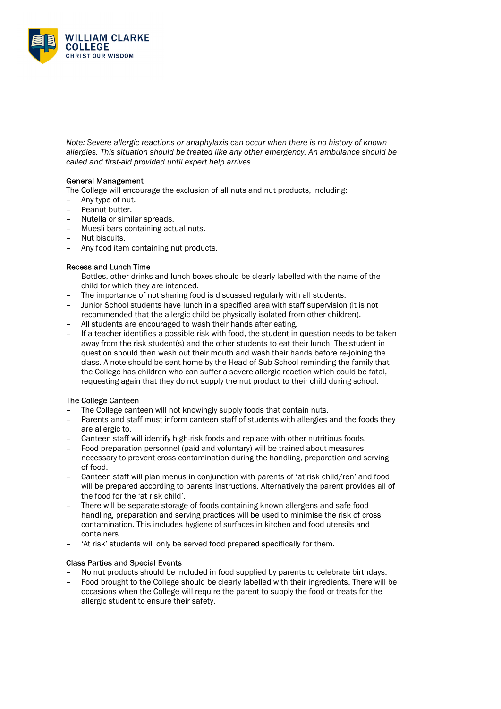

Note: Severe allergic reactions or anaphylaxis can occur when there is no history of known allergies. This situation should be treated like any other emergency. An ambulance should be called and first-aid provided until expert help arrives.

## General Management

The College will encourage the exclusion of all nuts and nut products, including:

- Any type of nut.
- Peanut butter.
- Nutella or similar spreads.
- Muesli bars containing actual nuts.
- Nut biscuits.
- Any food item containing nut products.

#### Recess and Lunch Time

- Bottles, other drinks and lunch boxes should be clearly labelled with the name of the child for which they are intended.
- The importance of not sharing food is discussed regularly with all students.
- Junior School students have lunch in a specified area with staff supervision (it is not recommended that the allergic child be physically isolated from other children).
- All students are encouraged to wash their hands after eating.
- If a teacher identifies a possible risk with food, the student in question needs to be taken away from the risk student(s) and the other students to eat their lunch. The student in question should then wash out their mouth and wash their hands before re-joining the class. A note should be sent home by the Head of Sub School reminding the family that the College has children who can suffer a severe allergic reaction which could be fatal, requesting again that they do not supply the nut product to their child during school.

## The College Canteen

- The College canteen will not knowingly supply foods that contain nuts.
- Parents and staff must inform canteen staff of students with allergies and the foods they are allergic to.
- Canteen staff will identify high-risk foods and replace with other nutritious foods.
- Food preparation personnel (paid and voluntary) will be trained about measures necessary to prevent cross contamination during the handling, preparation and serving of food.
- Canteen staff will plan menus in conjunction with parents of 'at risk child/ren' and food will be prepared according to parents instructions. Alternatively the parent provides all of the food for the 'at risk child'.
- There will be separate storage of foods containing known allergens and safe food handling, preparation and serving practices will be used to minimise the risk of cross contamination. This includes hygiene of surfaces in kitchen and food utensils and containers.
- 'At risk' students will only be served food prepared specifically for them.

## Class Parties and Special Events

- No nut products should be included in food supplied by parents to celebrate birthdays.
- Food brought to the College should be clearly labelled with their ingredients. There will be occasions when the College will require the parent to supply the food or treats for the allergic student to ensure their safety.